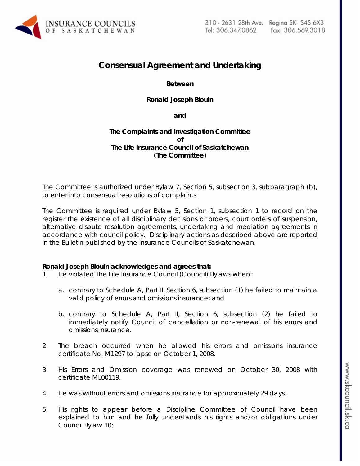

# **Consensual Agreement and Undertaking**

**Between** 

**Ronald Joseph Blouin** 

**and** 

## **The Complaints and Investigation Committee of The Life Insurance Council of Saskatchewan (The Committee)**

The Committee is authorized under Bylaw 7, Section 5, subsection 3, subparagraph (b), to enter into consensual resolutions of complaints.

The Committee is required under Bylaw 5, Section 1, subsection 1 to record on the register the existence of all disciplinary decisions or orders, court orders of suspension, alternative dispute resolution agreements, undertaking and mediation agreements in accordance with council policy. Disciplinary actions as described above are reported in the Bulletin published by the Insurance Councils of Saskatchewan.

## **Ronald Joseph Blouin acknowledges and agrees that:**

- 1. He violated The Life Insurance Council (Council) Bylaws when::
	- a. contrary to Schedule A, Part II, Section 6, subsection (1) he failed to maintain a valid policy of errors and omissions insurance; and
	- b. contrary to Schedule A, Part II, Section 6, subsection (2) he failed to immediately notify Council of cancellation or non-renewal of his errors and omissions insurance.
- 2. The breach occurred when he allowed his errors and omissions insurance certificate No. M1297 to lapse on October 1, 2008.
- 3. His Errors and Omission coverage was renewed on October 30, 2008 with certificate ML00119.
- 4. He was without errors and omissions insurance for approximately 29 days.
- 5. His rights to appear before a Discipline Committee of Council have been explained to him and he fully understands his rights and/or obligations under Council Bylaw 10;